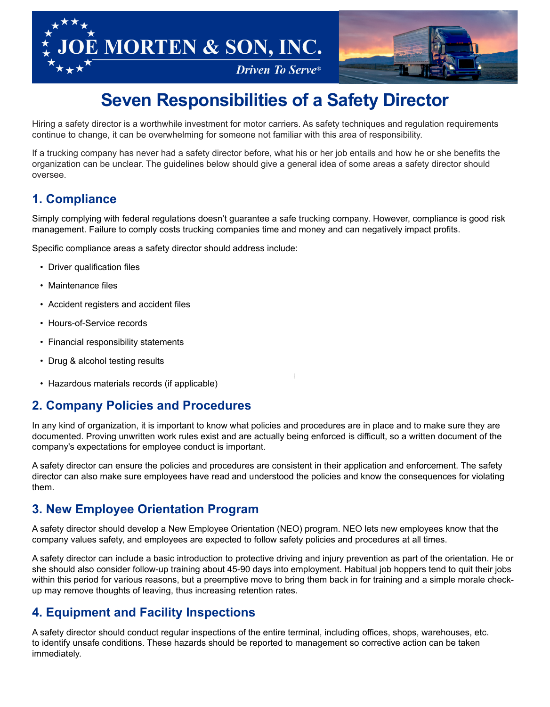



# **Seven Responsibilities of a Safety Director**

Hiring a safety director is a worthwhile investment for motor carriers. As safety techniques and regulation requirements continue to change, it can be overwhelming for someone not familiar with this area of responsibility.

If a trucking company has never had a safety director before, what his or her job entails and how he or she benefits the organization can be unclear. The guidelines below should give a general idea of some areas a safety director should oversee.

#### **1. Compliance**

Simply complying with federal regulations doesn't guarantee a safe trucking company. However, compliance is good risk management. Failure to comply costs trucking companies time and money and can negatively impact profits.

Specific compliance areas a safety director should address include:

- Driver qualification files
- Maintenance files
- Accident registers and accident files
- Hours-of-Service records
- Financial responsibility statements
- Drug & alcohol testing results
- Hazardous materials records (if applicable)

#### **2. Company Policies and Procedures**

In any kind of organization, it is important to know what policies and procedures are in place and to make sure they are documented. Proving unwritten work rules exist and are actually being enforced is difficult, so a written document of the company's expectations for employee conduct is important.

A safety director can ensure the policies and procedures are consistent in their application and enforcement. The safety director can also make sure employees have read and understood the policies and know the consequences for violating them.

#### **3. New Employee Orientation Program**

A safety director should develop a New Employee Orientation (NEO) program. NEO lets new employees know that the company values safety, and employees are expected to follow safety policies and procedures at all times.

A safety director can include a basic introduction to protective driving and injury prevention as part of the orientation. He or she should also consider follow-up training about 45-90 days into employment. Habitual job hoppers tend to quit their jobs within this period for various reasons, but a preemptive move to bring them back in for training and a simple morale checkup may remove thoughts of leaving, thus increasing retention rates.

### **4. Equipment and Facility Inspections**

A safety director should conduct regular inspections of the entire terminal, including offices, shops, warehouses, etc. to identify unsafe conditions. These hazards should be reported to management so corrective action can be taken immediately.